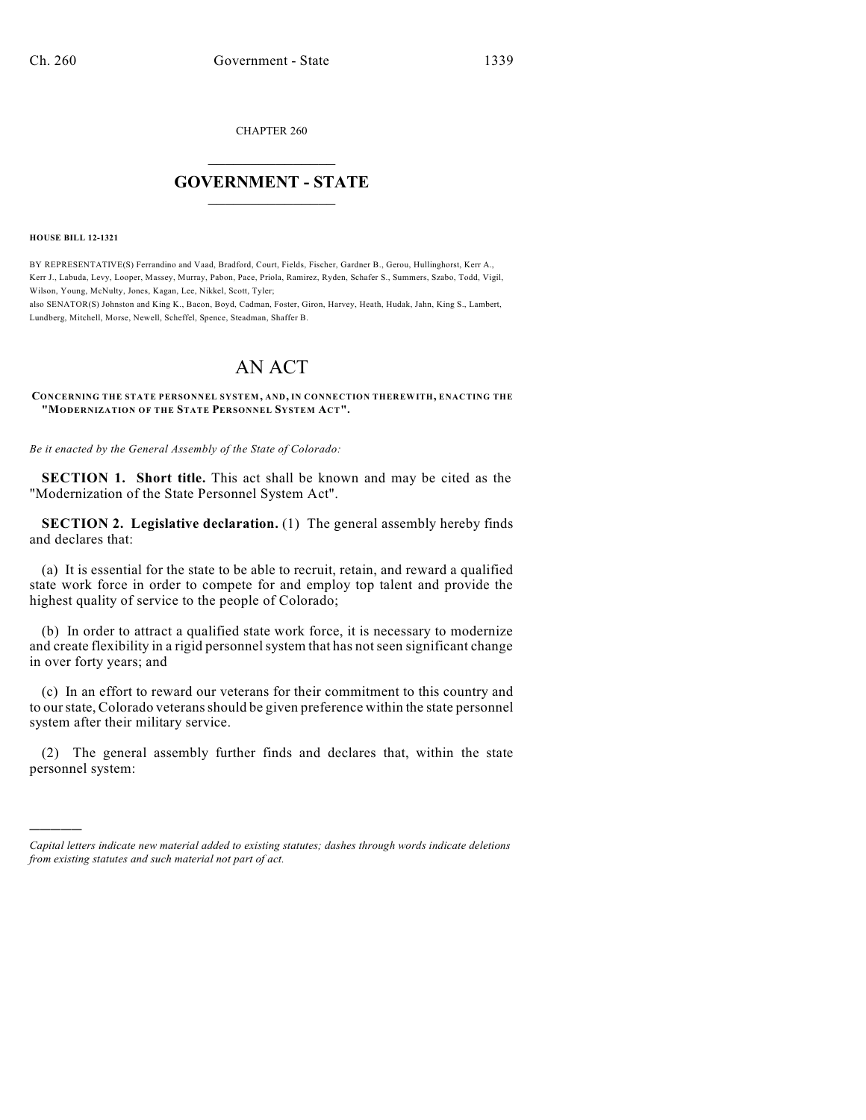CHAPTER 260

## $\overline{\phantom{a}}$  . The set of the set of the set of the set of the set of the set of the set of the set of the set of the set of the set of the set of the set of the set of the set of the set of the set of the set of the set o **GOVERNMENT - STATE**  $\_$

**HOUSE BILL 12-1321**

)))))

BY REPRESENTATIVE(S) Ferrandino and Vaad, Bradford, Court, Fields, Fischer, Gardner B., Gerou, Hullinghorst, Kerr A., Kerr J., Labuda, Levy, Looper, Massey, Murray, Pabon, Pace, Priola, Ramirez, Ryden, Schafer S., Summers, Szabo, Todd, Vigil, Wilson, Young, McNulty, Jones, Kagan, Lee, Nikkel, Scott, Tyler;

also SENATOR(S) Johnston and King K., Bacon, Boyd, Cadman, Foster, Giron, Harvey, Heath, Hudak, Jahn, King S., Lambert, Lundberg, Mitchell, Morse, Newell, Scheffel, Spence, Steadman, Shaffer B.

## AN ACT

**CONCERNING THE STATE PERSONNEL SYSTEM, AND, IN CONNECTION THEREWITH, ENACTING THE "MODERNIZATION OF THE STATE PERSONNEL SYSTEM ACT".**

*Be it enacted by the General Assembly of the State of Colorado:*

**SECTION 1. Short title.** This act shall be known and may be cited as the "Modernization of the State Personnel System Act".

**SECTION 2. Legislative declaration.** (1) The general assembly hereby finds and declares that:

(a) It is essential for the state to be able to recruit, retain, and reward a qualified state work force in order to compete for and employ top talent and provide the highest quality of service to the people of Colorado;

(b) In order to attract a qualified state work force, it is necessary to modernize and create flexibility in a rigid personnel system that has not seen significant change in over forty years; and

(c) In an effort to reward our veterans for their commitment to this country and to our state, Colorado veterans should be given preference within the state personnel system after their military service.

(2) The general assembly further finds and declares that, within the state personnel system:

*Capital letters indicate new material added to existing statutes; dashes through words indicate deletions from existing statutes and such material not part of act.*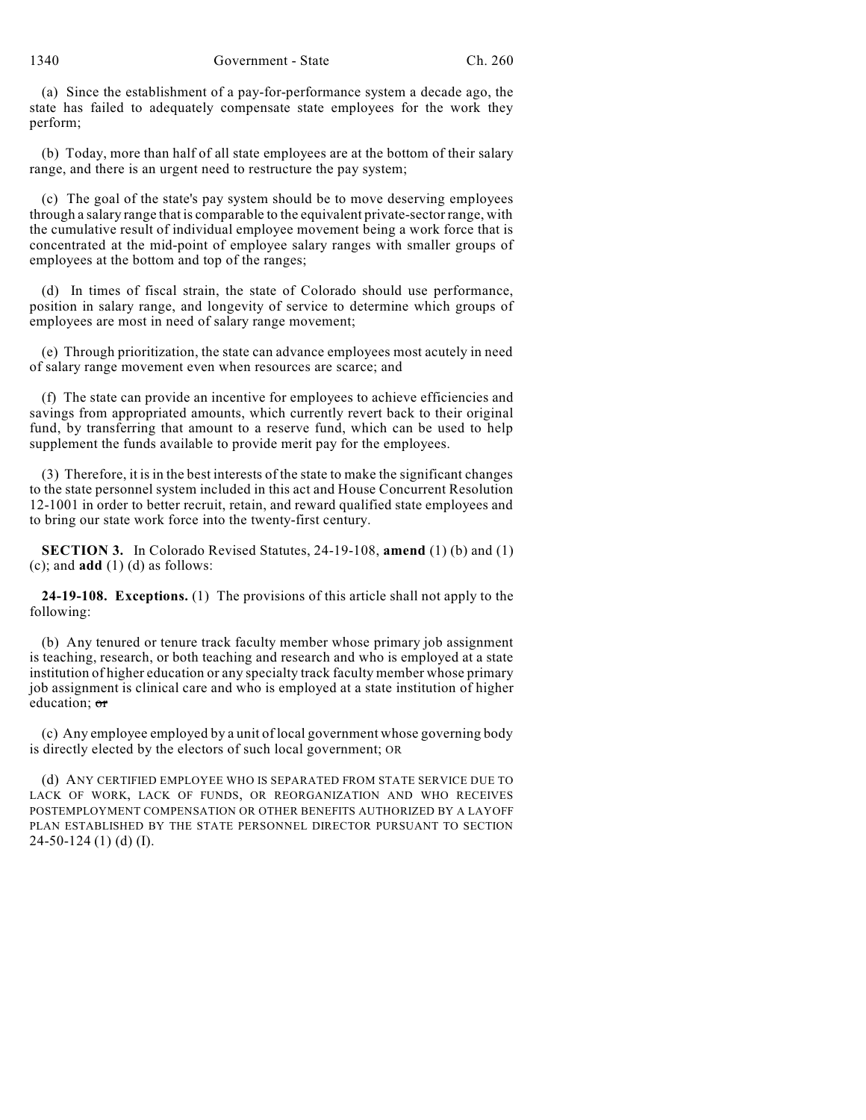(a) Since the establishment of a pay-for-performance system a decade ago, the state has failed to adequately compensate state employees for the work they perform;

(b) Today, more than half of all state employees are at the bottom of their salary range, and there is an urgent need to restructure the pay system;

(c) The goal of the state's pay system should be to move deserving employees through a salary range that is comparable to the equivalent private-sector range, with the cumulative result of individual employee movement being a work force that is concentrated at the mid-point of employee salary ranges with smaller groups of employees at the bottom and top of the ranges;

(d) In times of fiscal strain, the state of Colorado should use performance, position in salary range, and longevity of service to determine which groups of employees are most in need of salary range movement;

(e) Through prioritization, the state can advance employees most acutely in need of salary range movement even when resources are scarce; and

(f) The state can provide an incentive for employees to achieve efficiencies and savings from appropriated amounts, which currently revert back to their original fund, by transferring that amount to a reserve fund, which can be used to help supplement the funds available to provide merit pay for the employees.

(3) Therefore, it is in the best interests of the state to make the significant changes to the state personnel system included in this act and House Concurrent Resolution 12-1001 in order to better recruit, retain, and reward qualified state employees and to bring our state work force into the twenty-first century.

**SECTION 3.** In Colorado Revised Statutes, 24-19-108, **amend** (1) (b) and (1) (c); and **add** (1) (d) as follows:

**24-19-108. Exceptions.** (1) The provisions of this article shall not apply to the following:

(b) Any tenured or tenure track faculty member whose primary job assignment is teaching, research, or both teaching and research and who is employed at a state institution of higher education or any specialty track faculty member whose primary job assignment is clinical care and who is employed at a state institution of higher education: or

(c) Any employee employed by a unit of local government whose governing body is directly elected by the electors of such local government; OR

(d) ANY CERTIFIED EMPLOYEE WHO IS SEPARATED FROM STATE SERVICE DUE TO LACK OF WORK, LACK OF FUNDS, OR REORGANIZATION AND WHO RECEIVES POSTEMPLOYMENT COMPENSATION OR OTHER BENEFITS AUTHORIZED BY A LAYOFF PLAN ESTABLISHED BY THE STATE PERSONNEL DIRECTOR PURSUANT TO SECTION 24-50-124 (1) (d) (I).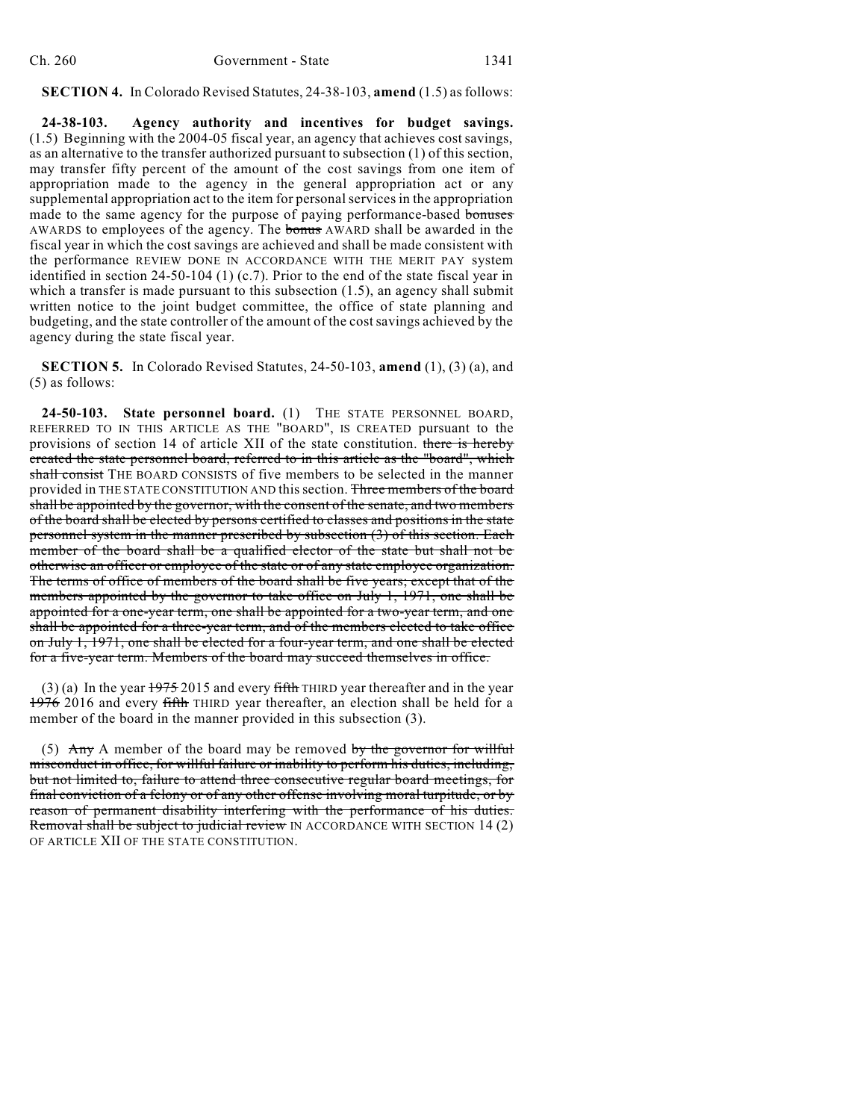## **SECTION 4.** In Colorado Revised Statutes, 24-38-103, **amend** (1.5) as follows:

**24-38-103. Agency authority and incentives for budget savings.** (1.5) Beginning with the 2004-05 fiscal year, an agency that achieves cost savings, as an alternative to the transfer authorized pursuant to subsection (1) of this section, may transfer fifty percent of the amount of the cost savings from one item of appropriation made to the agency in the general appropriation act or any supplemental appropriation act to the item for personal services in the appropriation made to the same agency for the purpose of paying performance-based bonuses AWARDS to employees of the agency. The bonus AWARD shall be awarded in the fiscal year in which the cost savings are achieved and shall be made consistent with the performance REVIEW DONE IN ACCORDANCE WITH THE MERIT PAY system identified in section 24-50-104 (1) (c.7). Prior to the end of the state fiscal year in which a transfer is made pursuant to this subsection  $(1.5)$ , an agency shall submit written notice to the joint budget committee, the office of state planning and budgeting, and the state controller of the amount of the cost savings achieved by the agency during the state fiscal year.

**SECTION 5.** In Colorado Revised Statutes, 24-50-103, **amend** (1), (3) (a), and (5) as follows:

**24-50-103. State personnel board.** (1) THE STATE PERSONNEL BOARD, REFERRED TO IN THIS ARTICLE AS THE "BOARD", IS CREATED pursuant to the provisions of section 14 of article XII of the state constitution. there is hereby created the state personnel board, referred to in this article as the "board", which shall consist THE BOARD CONSISTS of five members to be selected in the manner provided in THE STATE CONSTITUTION AND this section. Three members of the board shall be appointed by the governor, with the consent of the senate, and two members of the board shall be elected by persons certified to classes and positions in the state personnel system in the manner prescribed by subsection (3) of this section. Each member of the board shall be a qualified elector of the state but shall not be otherwise an officer or employee of the state or of any state employee organization. The terms of office of members of the board shall be five years; except that of the members appointed by the governor to take office on July 1, 1971, one shall be appointed for a one-year term, one shall be appointed for a two-year term, and one shall be appointed for a three-year term, and of the members elected to take office on July 1, 1971, one shall be elected for a four-year term, and one shall be elected for a five-year term. Members of the board may succeed themselves in office.

(3) (a) In the year  $1975$  2015 and every fifth THIRD year thereafter and in the year 1976 2016 and every fifth THIRD year thereafter, an election shall be held for a member of the board in the manner provided in this subsection (3).

(5) Any A member of the board may be removed by the governor for willful misconduct in office, for willful failure or inability to perform his duties, including, but not limited to, failure to attend three consecutive regular board meetings, for final conviction of a felony or of any other offense involving moral turpitude, or by reason of permanent disability interfering with the performance of his duties. Removal shall be subject to judicial review IN ACCORDANCE WITH SECTION 14 (2) OF ARTICLE XII OF THE STATE CONSTITUTION.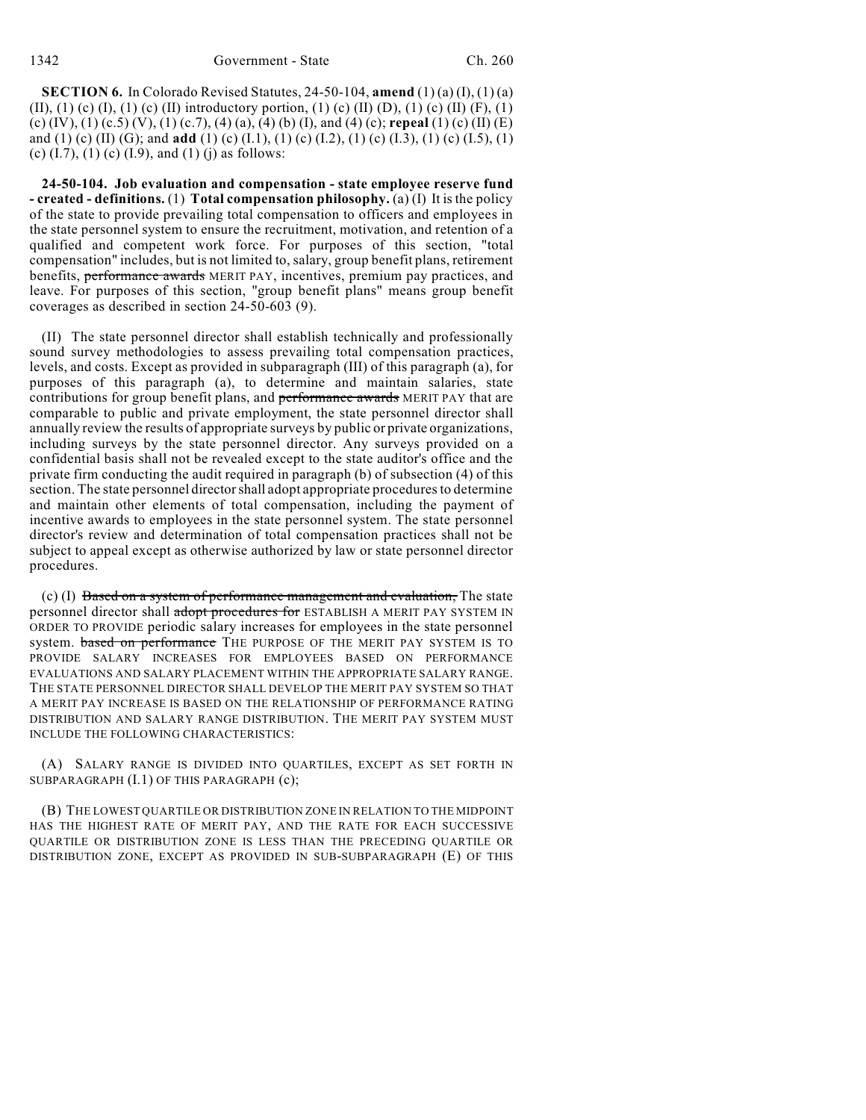**SECTION 6.** In Colorado Revised Statutes, 24-50-104, **amend** (1) (a) (I), (1) (a) (II), (1) (c) (I), (1) (c) (II) introductory portion, (1) (c) (II) (D), (1) (c) (II) (F), (1) (c) (IV), (1) (c.5) (V), (1) (c.7), (4) (a), (4) (b) (I), and (4) (c); **repeal** (1) (c) (II) (E) and (1) (c) (II) (G); and **add** (1) (c) (I.1), (1) (c) (I.2), (1) (c) (I.3), (1) (c) (I.5), (1) (c)  $(I.7)$ ,  $(I)$  (c)  $(I.9)$ , and  $(I)$  (j) as follows:

**24-50-104. Job evaluation and compensation - state employee reserve fund - created - definitions.** (1) **Total compensation philosophy.** (a) (I) It is the policy of the state to provide prevailing total compensation to officers and employees in the state personnel system to ensure the recruitment, motivation, and retention of a qualified and competent work force. For purposes of this section, "total compensation" includes, but is not limited to, salary, group benefit plans, retirement benefits, performance awards MERIT PAY, incentives, premium pay practices, and leave. For purposes of this section, "group benefit plans" means group benefit coverages as described in section 24-50-603 (9).

(II) The state personnel director shall establish technically and professionally sound survey methodologies to assess prevailing total compensation practices, levels, and costs. Except as provided in subparagraph (III) of this paragraph (a), for purposes of this paragraph (a), to determine and maintain salaries, state contributions for group benefit plans, and performance awards MERIT PAY that are comparable to public and private employment, the state personnel director shall annually review the results of appropriate surveys by public or private organizations, including surveys by the state personnel director. Any surveys provided on a confidential basis shall not be revealed except to the state auditor's office and the private firm conducting the audit required in paragraph (b) of subsection (4) of this section. The state personnel director shall adopt appropriate procedures to determine and maintain other elements of total compensation, including the payment of incentive awards to employees in the state personnel system. The state personnel director's review and determination of total compensation practices shall not be subject to appeal except as otherwise authorized by law or state personnel director procedures.

 $(c)$  (I) Based on a system of performance management and evaluation, The state personnel director shall adopt procedures for ESTABLISH A MERIT PAY SYSTEM IN ORDER TO PROVIDE periodic salary increases for employees in the state personnel system. based on performance THE PURPOSE OF THE MERIT PAY SYSTEM IS TO PROVIDE SALARY INCREASES FOR EMPLOYEES BASED ON PERFORMANCE EVALUATIONS AND SALARY PLACEMENT WITHIN THE APPROPRIATE SALARY RANGE. THE STATE PERSONNEL DIRECTOR SHALL DEVELOP THE MERIT PAY SYSTEM SO THAT A MERIT PAY INCREASE IS BASED ON THE RELATIONSHIP OF PERFORMANCE RATING DISTRIBUTION AND SALARY RANGE DISTRIBUTION. THE MERIT PAY SYSTEM MUST INCLUDE THE FOLLOWING CHARACTERISTICS:

(A) SALARY RANGE IS DIVIDED INTO QUARTILES, EXCEPT AS SET FORTH IN SUBPARAGRAPH (I.1) OF THIS PARAGRAPH (c);

(B) THE LOWEST QUARTILE OR DISTRIBUTION ZONE IN RELATION TO THE MIDPOINT HAS THE HIGHEST RATE OF MERIT PAY, AND THE RATE FOR EACH SUCCESSIVE QUARTILE OR DISTRIBUTION ZONE IS LESS THAN THE PRECEDING QUARTILE OR DISTRIBUTION ZONE, EXCEPT AS PROVIDED IN SUB-SUBPARAGRAPH (E) OF THIS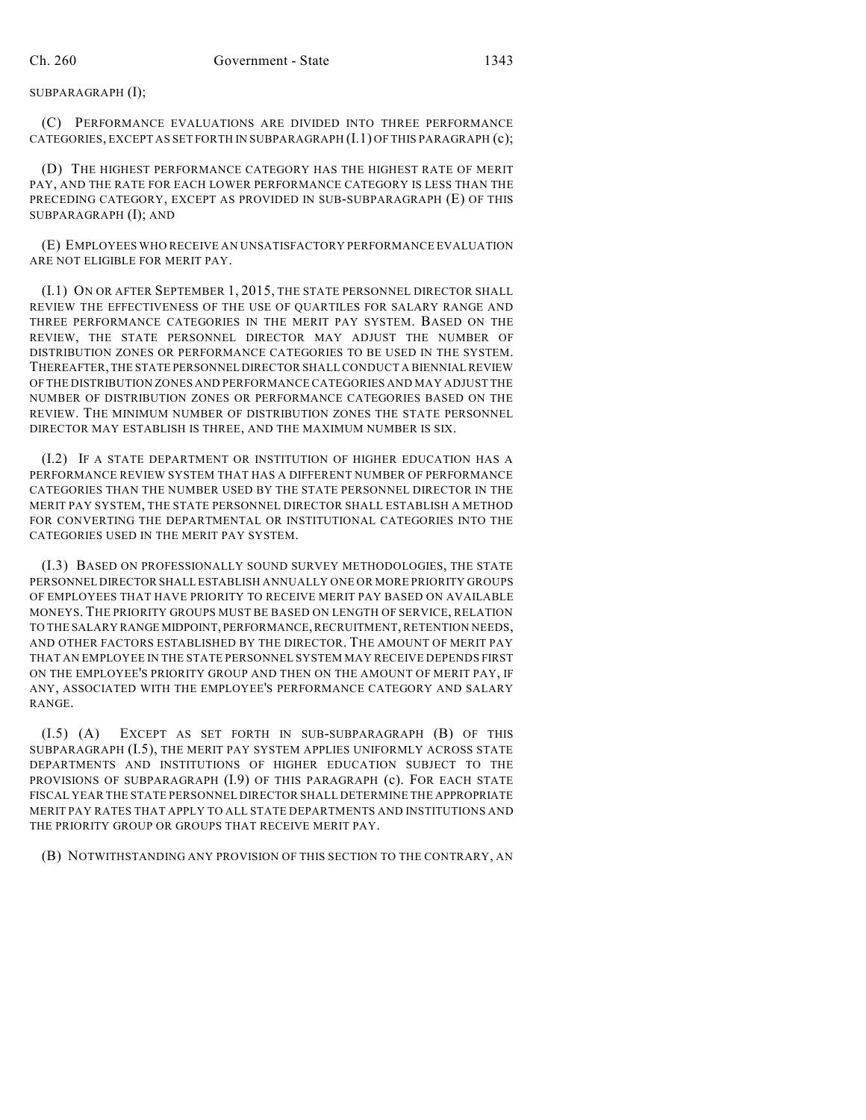SUBPARAGRAPH (I);

(C) PERFORMANCE EVALUATIONS ARE DIVIDED INTO THREE PERFORMANCE CATEGORIES, EXCEPT AS SET FORTH IN SUBPARAGRAPH (I.1) OF THIS PARAGRAPH (c);

(D) THE HIGHEST PERFORMANCE CATEGORY HAS THE HIGHEST RATE OF MERIT PAY, AND THE RATE FOR EACH LOWER PERFORMANCE CATEGORY IS LESS THAN THE PRECEDING CATEGORY, EXCEPT AS PROVIDED IN SUB-SUBPARAGRAPH (E) OF THIS SUBPARAGRAPH (I); AND

(E) EMPLOYEES WHO RECEIVE AN UNSATISFACTORY PERFORMANCE EVALUATION ARE NOT ELIGIBLE FOR MERIT PAY.

(I.1) ON OR AFTER SEPTEMBER 1, 2015, THE STATE PERSONNEL DIRECTOR SHALL REVIEW THE EFFECTIVENESS OF THE USE OF QUARTILES FOR SALARY RANGE AND THREE PERFORMANCE CATEGORIES IN THE MERIT PAY SYSTEM. BASED ON THE REVIEW, THE STATE PERSONNEL DIRECTOR MAY ADJUST THE NUMBER OF DISTRIBUTION ZONES OR PERFORMANCE CATEGORIES TO BE USED IN THE SYSTEM. THEREAFTER, THE STATE PERSONNEL DIRECTOR SHALLCONDUCT A BIENNIAL REVIEW OF THE DISTRIBUTION ZONES AND PERFORMANCE CATEGORIES AND MAY ADJUST THE NUMBER OF DISTRIBUTION ZONES OR PERFORMANCE CATEGORIES BASED ON THE REVIEW. THE MINIMUM NUMBER OF DISTRIBUTION ZONES THE STATE PERSONNEL DIRECTOR MAY ESTABLISH IS THREE, AND THE MAXIMUM NUMBER IS SIX.

(I.2) IF A STATE DEPARTMENT OR INSTITUTION OF HIGHER EDUCATION HAS A PERFORMANCE REVIEW SYSTEM THAT HAS A DIFFERENT NUMBER OF PERFORMANCE CATEGORIES THAN THE NUMBER USED BY THE STATE PERSONNEL DIRECTOR IN THE MERIT PAY SYSTEM, THE STATE PERSONNEL DIRECTOR SHALL ESTABLISH A METHOD FOR CONVERTING THE DEPARTMENTAL OR INSTITUTIONAL CATEGORIES INTO THE CATEGORIES USED IN THE MERIT PAY SYSTEM.

(I.3) BASED ON PROFESSIONALLY SOUND SURVEY METHODOLOGIES, THE STATE PERSONNEL DIRECTOR SHALL ESTABLISH ANNUALLY ONE OR MORE PRIORITY GROUPS OF EMPLOYEES THAT HAVE PRIORITY TO RECEIVE MERIT PAY BASED ON AVAILABLE MONEYS. THE PRIORITY GROUPS MUST BE BASED ON LENGTH OF SERVICE, RELATION TO THE SALARY RANGE MIDPOINT, PERFORMANCE,RECRUITMENT, RETENTION NEEDS, AND OTHER FACTORS ESTABLISHED BY THE DIRECTOR. THE AMOUNT OF MERIT PAY THAT AN EMPLOYEE IN THE STATE PERSONNEL SYSTEM MAY RECEIVE DEPENDS FIRST ON THE EMPLOYEE'S PRIORITY GROUP AND THEN ON THE AMOUNT OF MERIT PAY, IF ANY, ASSOCIATED WITH THE EMPLOYEE'S PERFORMANCE CATEGORY AND SALARY RANGE.

(I.5) (A) EXCEPT AS SET FORTH IN SUB-SUBPARAGRAPH (B) OF THIS SUBPARAGRAPH (I.5), THE MERIT PAY SYSTEM APPLIES UNIFORMLY ACROSS STATE DEPARTMENTS AND INSTITUTIONS OF HIGHER EDUCATION SUBJECT TO THE PROVISIONS OF SUBPARAGRAPH (I.9) OF THIS PARAGRAPH (c). FOR EACH STATE FISCAL YEAR THE STATE PERSONNEL DIRECTOR SHALL DETERMINE THE APPROPRIATE MERIT PAY RATES THAT APPLY TO ALL STATE DEPARTMENTS AND INSTITUTIONS AND THE PRIORITY GROUP OR GROUPS THAT RECEIVE MERIT PAY.

(B) NOTWITHSTANDING ANY PROVISION OF THIS SECTION TO THE CONTRARY, AN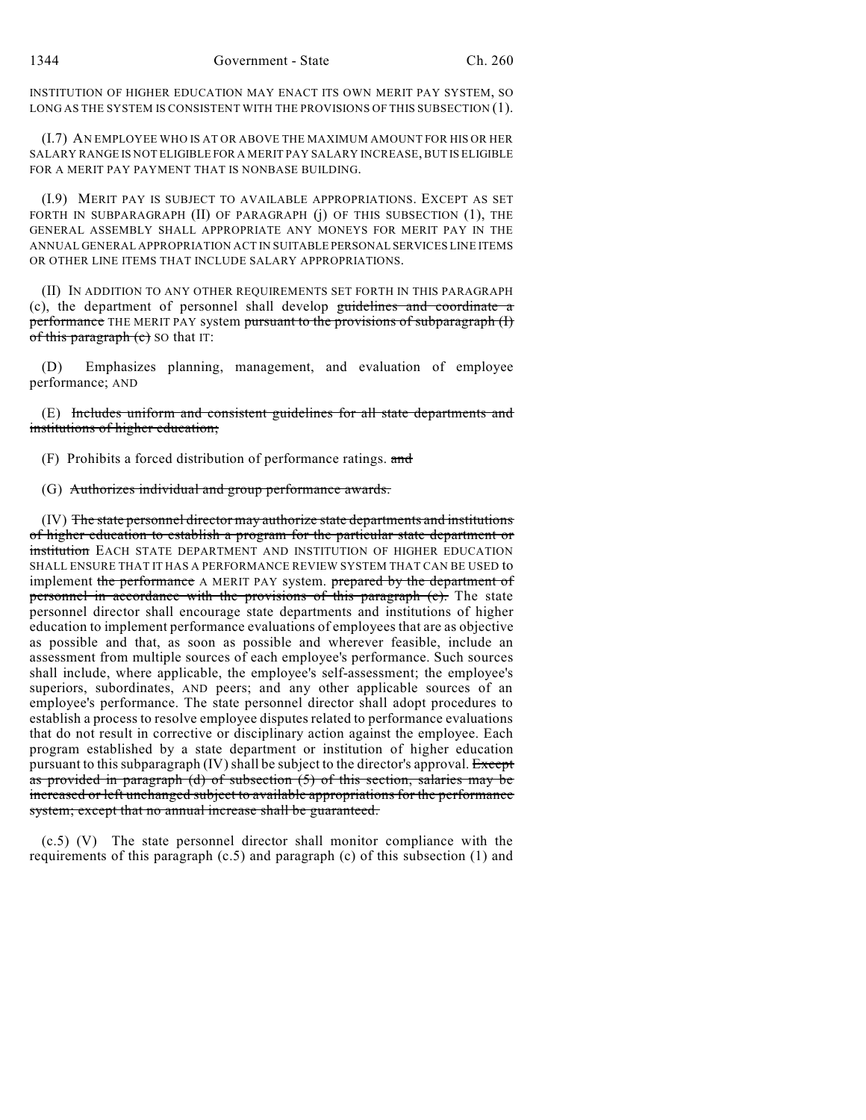INSTITUTION OF HIGHER EDUCATION MAY ENACT ITS OWN MERIT PAY SYSTEM, SO LONG AS THE SYSTEM IS CONSISTENT WITH THE PROVISIONS OF THIS SUBSECTION (1).

(I.7) AN EMPLOYEE WHO IS AT OR ABOVE THE MAXIMUM AMOUNT FOR HIS OR HER SALARY RANGE IS NOT ELIGIBLE FOR A MERIT PAY SALARY INCREASE, BUT IS ELIGIBLE FOR A MERIT PAY PAYMENT THAT IS NONBASE BUILDING.

(I.9) MERIT PAY IS SUBJECT TO AVAILABLE APPROPRIATIONS. EXCEPT AS SET FORTH IN SUBPARAGRAPH (II) OF PARAGRAPH (j) OF THIS SUBSECTION (1), THE GENERAL ASSEMBLY SHALL APPROPRIATE ANY MONEYS FOR MERIT PAY IN THE ANNUAL GENERAL APPROPRIATION ACT IN SUITABLE PERSONAL SERVICES LINE ITEMS OR OTHER LINE ITEMS THAT INCLUDE SALARY APPROPRIATIONS.

(II) IN ADDITION TO ANY OTHER REQUIREMENTS SET FORTH IN THIS PARAGRAPH (c), the department of personnel shall develop guidelines and coordinate a performance THE MERIT PAY system pursuant to the provisions of subparagraph (I) of this paragraph  $(c)$  SO that IT:

(D) Emphasizes planning, management, and evaluation of employee performance; AND

(E) Includes uniform and consistent guidelines for all state departments and institutions of higher education;

(F) Prohibits a forced distribution of performance ratings. and

(G) Authorizes individual and group performance awards.

(IV) The state personnel director may authorize state departments and institutions of higher education to establish a program for the particular state department or institution EACH STATE DEPARTMENT AND INSTITUTION OF HIGHER EDUCATION SHALL ENSURE THAT IT HAS A PERFORMANCE REVIEW SYSTEM THAT CAN BE USED to implement the performance A MERIT PAY system. prepared by the department of personnel in accordance with the provisions of this paragraph (c). The state personnel director shall encourage state departments and institutions of higher education to implement performance evaluations of employees that are as objective as possible and that, as soon as possible and wherever feasible, include an assessment from multiple sources of each employee's performance. Such sources shall include, where applicable, the employee's self-assessment; the employee's superiors, subordinates, AND peers; and any other applicable sources of an employee's performance. The state personnel director shall adopt procedures to establish a process to resolve employee disputes related to performance evaluations that do not result in corrective or disciplinary action against the employee. Each program established by a state department or institution of higher education pursuant to this subparagraph  $(IV)$  shall be subject to the director's approval. Except as provided in paragraph (d) of subsection (5) of this section, salaries may be increased or left unchanged subject to available appropriations for the performance system; except that no annual increase shall be guaranteed.

(c.5) (V) The state personnel director shall monitor compliance with the requirements of this paragraph (c.5) and paragraph (c) of this subsection (1) and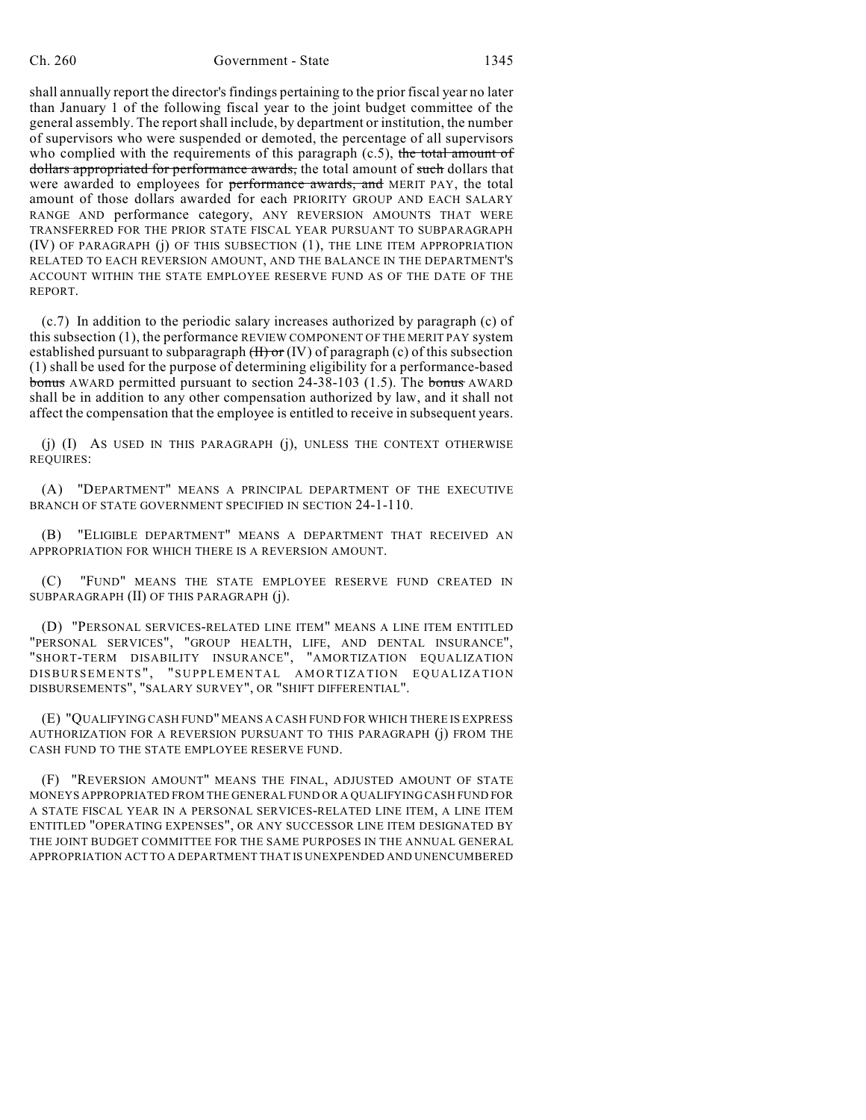shall annually report the director's findings pertaining to the prior fiscal year no later than January 1 of the following fiscal year to the joint budget committee of the general assembly. The reportshall include, by department or institution, the number of supervisors who were suspended or demoted, the percentage of all supervisors who complied with the requirements of this paragraph  $(c.5)$ , the total amount of dollars appropriated for performance awards, the total amount of such dollars that were awarded to employees for performance awards, and MERIT PAY, the total amount of those dollars awarded for each PRIORITY GROUP AND EACH SALARY RANGE AND performance category, ANY REVERSION AMOUNTS THAT WERE TRANSFERRED FOR THE PRIOR STATE FISCAL YEAR PURSUANT TO SUBPARAGRAPH (IV) OF PARAGRAPH (j) OF THIS SUBSECTION (1), THE LINE ITEM APPROPRIATION RELATED TO EACH REVERSION AMOUNT, AND THE BALANCE IN THE DEPARTMENT'S ACCOUNT WITHIN THE STATE EMPLOYEE RESERVE FUND AS OF THE DATE OF THE REPORT.

(c.7) In addition to the periodic salary increases authorized by paragraph (c) of this subsection (1), the performance REVIEW COMPONENT OF THE MERIT PAY system established pursuant to subparagraph  $(H)$  or  $(IV)$  of paragraph (c) of this subsection (1) shall be used for the purpose of determining eligibility for a performance-based bonus AWARD permitted pursuant to section  $24-38-103$  (1.5). The bonus AWARD shall be in addition to any other compensation authorized by law, and it shall not affect the compensation that the employee is entitled to receive in subsequent years.

(j) (I) AS USED IN THIS PARAGRAPH (j), UNLESS THE CONTEXT OTHERWISE REQUIRES:

(A) "DEPARTMENT" MEANS A PRINCIPAL DEPARTMENT OF THE EXECUTIVE BRANCH OF STATE GOVERNMENT SPECIFIED IN SECTION 24-1-110.

(B) "ELIGIBLE DEPARTMENT" MEANS A DEPARTMENT THAT RECEIVED AN APPROPRIATION FOR WHICH THERE IS A REVERSION AMOUNT.

(C) "FUND" MEANS THE STATE EMPLOYEE RESERVE FUND CREATED IN SUBPARAGRAPH (II) OF THIS PARAGRAPH (j).

(D) "PERSONAL SERVICES-RELATED LINE ITEM" MEANS A LINE ITEM ENTITLED "PERSONAL SERVICES", "GROUP HEALTH, LIFE, AND DENTAL INSURANCE", "SHORT-TERM DISABILITY INSURANCE", "AMORTIZATION EQUALIZATION DISBURSEMENTS", "SUPPLEMENTAL AMORTIZATION EQUALIZATION DISBURSEMENTS", "SALARY SURVEY", OR "SHIFT DIFFERENTIAL".

(E) "QUALIFYING CASH FUND" MEANS A CASH FUND FOR WHICH THERE IS EXPRESS AUTHORIZATION FOR A REVERSION PURSUANT TO THIS PARAGRAPH (j) FROM THE CASH FUND TO THE STATE EMPLOYEE RESERVE FUND.

(F) "REVERSION AMOUNT" MEANS THE FINAL, ADJUSTED AMOUNT OF STATE MONEYS APPROPRIATED FROM THE GENERAL FUND OR A QUALIFYING CASH FUND FOR A STATE FISCAL YEAR IN A PERSONAL SERVICES-RELATED LINE ITEM, A LINE ITEM ENTITLED "OPERATING EXPENSES", OR ANY SUCCESSOR LINE ITEM DESIGNATED BY THE JOINT BUDGET COMMITTEE FOR THE SAME PURPOSES IN THE ANNUAL GENERAL APPROPRIATION ACT TO A DEPARTMENT THAT IS UNEXPENDED AND UNENCUMBERED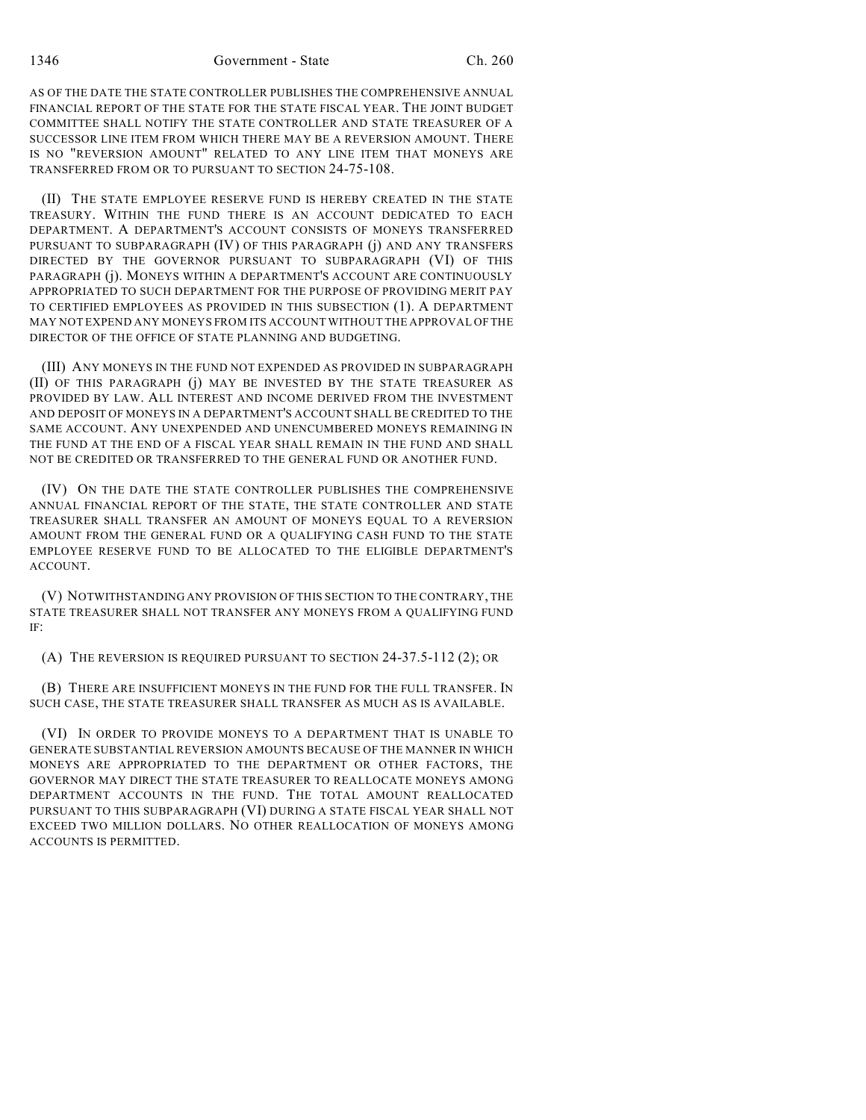AS OF THE DATE THE STATE CONTROLLER PUBLISHES THE COMPREHENSIVE ANNUAL FINANCIAL REPORT OF THE STATE FOR THE STATE FISCAL YEAR. THE JOINT BUDGET COMMITTEE SHALL NOTIFY THE STATE CONTROLLER AND STATE TREASURER OF A SUCCESSOR LINE ITEM FROM WHICH THERE MAY BE A REVERSION AMOUNT. THERE IS NO "REVERSION AMOUNT" RELATED TO ANY LINE ITEM THAT MONEYS ARE TRANSFERRED FROM OR TO PURSUANT TO SECTION 24-75-108.

(II) THE STATE EMPLOYEE RESERVE FUND IS HEREBY CREATED IN THE STATE TREASURY. WITHIN THE FUND THERE IS AN ACCOUNT DEDICATED TO EACH DEPARTMENT. A DEPARTMENT'S ACCOUNT CONSISTS OF MONEYS TRANSFERRED PURSUANT TO SUBPARAGRAPH (IV) OF THIS PARAGRAPH (j) AND ANY TRANSFERS DIRECTED BY THE GOVERNOR PURSUANT TO SUBPARAGRAPH (VI) OF THIS PARAGRAPH (j). MONEYS WITHIN A DEPARTMENT'S ACCOUNT ARE CONTINUOUSLY APPROPRIATED TO SUCH DEPARTMENT FOR THE PURPOSE OF PROVIDING MERIT PAY TO CERTIFIED EMPLOYEES AS PROVIDED IN THIS SUBSECTION (1). A DEPARTMENT MAY NOT EXPEND ANY MONEYS FROM ITS ACCOUNT WITHOUT THE APPROVAL OF THE DIRECTOR OF THE OFFICE OF STATE PLANNING AND BUDGETING.

(III) ANY MONEYS IN THE FUND NOT EXPENDED AS PROVIDED IN SUBPARAGRAPH (II) OF THIS PARAGRAPH (j) MAY BE INVESTED BY THE STATE TREASURER AS PROVIDED BY LAW. ALL INTEREST AND INCOME DERIVED FROM THE INVESTMENT AND DEPOSIT OF MONEYS IN A DEPARTMENT'S ACCOUNT SHALL BE CREDITED TO THE SAME ACCOUNT. ANY UNEXPENDED AND UNENCUMBERED MONEYS REMAINING IN THE FUND AT THE END OF A FISCAL YEAR SHALL REMAIN IN THE FUND AND SHALL NOT BE CREDITED OR TRANSFERRED TO THE GENERAL FUND OR ANOTHER FUND.

(IV) ON THE DATE THE STATE CONTROLLER PUBLISHES THE COMPREHENSIVE ANNUAL FINANCIAL REPORT OF THE STATE, THE STATE CONTROLLER AND STATE TREASURER SHALL TRANSFER AN AMOUNT OF MONEYS EQUAL TO A REVERSION AMOUNT FROM THE GENERAL FUND OR A QUALIFYING CASH FUND TO THE STATE EMPLOYEE RESERVE FUND TO BE ALLOCATED TO THE ELIGIBLE DEPARTMENT'S ACCOUNT.

(V) NOTWITHSTANDING ANY PROVISION OF THIS SECTION TO THE CONTRARY, THE STATE TREASURER SHALL NOT TRANSFER ANY MONEYS FROM A QUALIFYING FUND IF:

(A) THE REVERSION IS REQUIRED PURSUANT TO SECTION 24-37.5-112 (2); OR

(B) THERE ARE INSUFFICIENT MONEYS IN THE FUND FOR THE FULL TRANSFER. IN SUCH CASE, THE STATE TREASURER SHALL TRANSFER AS MUCH AS IS AVAILABLE.

(VI) IN ORDER TO PROVIDE MONEYS TO A DEPARTMENT THAT IS UNABLE TO GENERATE SUBSTANTIAL REVERSION AMOUNTS BECAUSE OF THE MANNER IN WHICH MONEYS ARE APPROPRIATED TO THE DEPARTMENT OR OTHER FACTORS, THE GOVERNOR MAY DIRECT THE STATE TREASURER TO REALLOCATE MONEYS AMONG DEPARTMENT ACCOUNTS IN THE FUND. THE TOTAL AMOUNT REALLOCATED PURSUANT TO THIS SUBPARAGRAPH (VI) DURING A STATE FISCAL YEAR SHALL NOT EXCEED TWO MILLION DOLLARS. NO OTHER REALLOCATION OF MONEYS AMONG ACCOUNTS IS PERMITTED.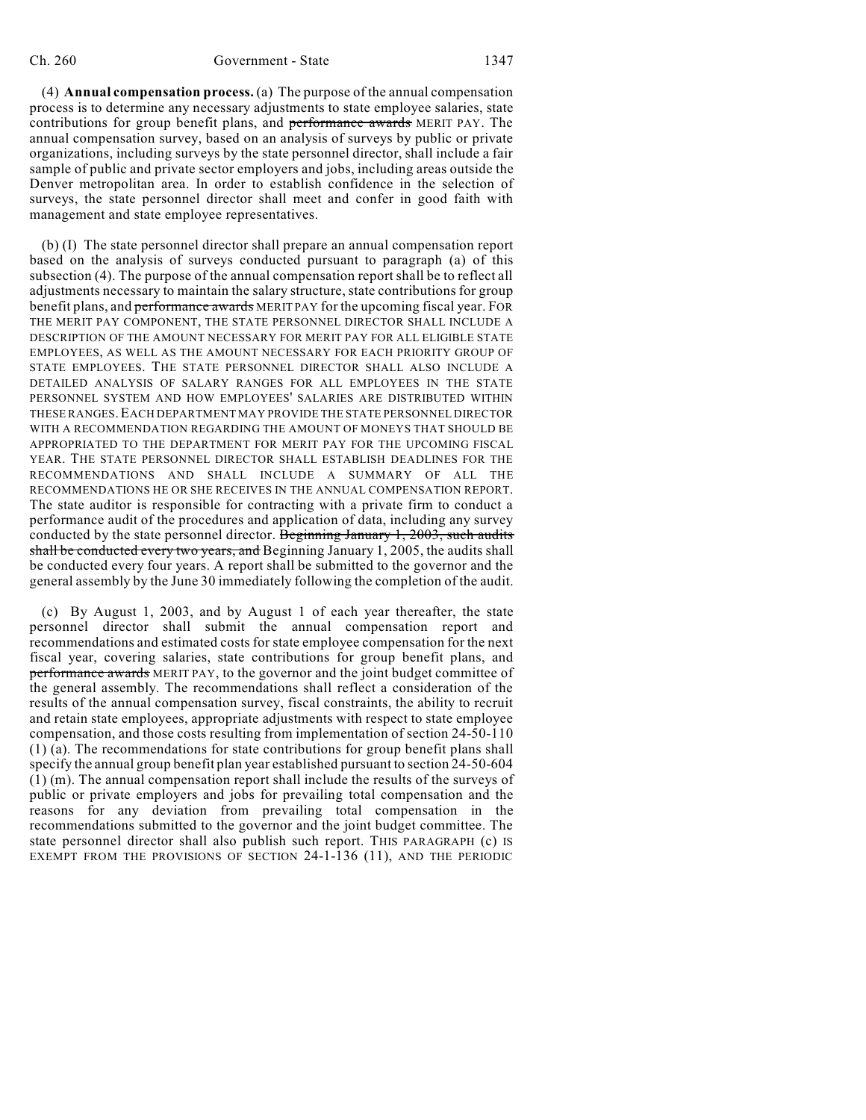(4) **Annual compensation process.** (a) The purpose of the annual compensation process is to determine any necessary adjustments to state employee salaries, state contributions for group benefit plans, and performance awards MERIT PAY. The annual compensation survey, based on an analysis of surveys by public or private organizations, including surveys by the state personnel director, shall include a fair sample of public and private sector employers and jobs, including areas outside the Denver metropolitan area. In order to establish confidence in the selection of surveys, the state personnel director shall meet and confer in good faith with management and state employee representatives.

(b) (I) The state personnel director shall prepare an annual compensation report based on the analysis of surveys conducted pursuant to paragraph (a) of this subsection (4). The purpose of the annual compensation report shall be to reflect all adjustments necessary to maintain the salary structure, state contributions for group benefit plans, and performance awards MERIT PAY for the upcoming fiscal year. FOR THE MERIT PAY COMPONENT, THE STATE PERSONNEL DIRECTOR SHALL INCLUDE A DESCRIPTION OF THE AMOUNT NECESSARY FOR MERIT PAY FOR ALL ELIGIBLE STATE EMPLOYEES, AS WELL AS THE AMOUNT NECESSARY FOR EACH PRIORITY GROUP OF STATE EMPLOYEES. THE STATE PERSONNEL DIRECTOR SHALL ALSO INCLUDE A DETAILED ANALYSIS OF SALARY RANGES FOR ALL EMPLOYEES IN THE STATE PERSONNEL SYSTEM AND HOW EMPLOYEES' SALARIES ARE DISTRIBUTED WITHIN THESE RANGES. EACH DEPARTMENT MAY PROVIDE THE STATE PERSONNEL DIRECTOR WITH A RECOMMENDATION REGARDING THE AMOUNT OF MONEYS THAT SHOULD BE APPROPRIATED TO THE DEPARTMENT FOR MERIT PAY FOR THE UPCOMING FISCAL YEAR. THE STATE PERSONNEL DIRECTOR SHALL ESTABLISH DEADLINES FOR THE RECOMMENDATIONS AND SHALL INCLUDE A SUMMARY OF ALL THE RECOMMENDATIONS HE OR SHE RECEIVES IN THE ANNUAL COMPENSATION REPORT. The state auditor is responsible for contracting with a private firm to conduct a performance audit of the procedures and application of data, including any survey conducted by the state personnel director. Beginning January 1, 2003, such audits shall be conducted every two years, and Beginning January 1, 2005, the audits shall be conducted every four years. A report shall be submitted to the governor and the general assembly by the June 30 immediately following the completion of the audit.

(c) By August 1, 2003, and by August 1 of each year thereafter, the state personnel director shall submit the annual compensation report and recommendations and estimated costs for state employee compensation for the next fiscal year, covering salaries, state contributions for group benefit plans, and performance awards MERIT PAY, to the governor and the joint budget committee of the general assembly. The recommendations shall reflect a consideration of the results of the annual compensation survey, fiscal constraints, the ability to recruit and retain state employees, appropriate adjustments with respect to state employee compensation, and those costs resulting from implementation of section 24-50-110 (1) (a). The recommendations for state contributions for group benefit plans shall specify the annual group benefit plan year established pursuant to section 24-50-604 (1) (m). The annual compensation report shall include the results of the surveys of public or private employers and jobs for prevailing total compensation and the reasons for any deviation from prevailing total compensation in the recommendations submitted to the governor and the joint budget committee. The state personnel director shall also publish such report. THIS PARAGRAPH (c) IS EXEMPT FROM THE PROVISIONS OF SECTION 24-1-136 (11), AND THE PERIODIC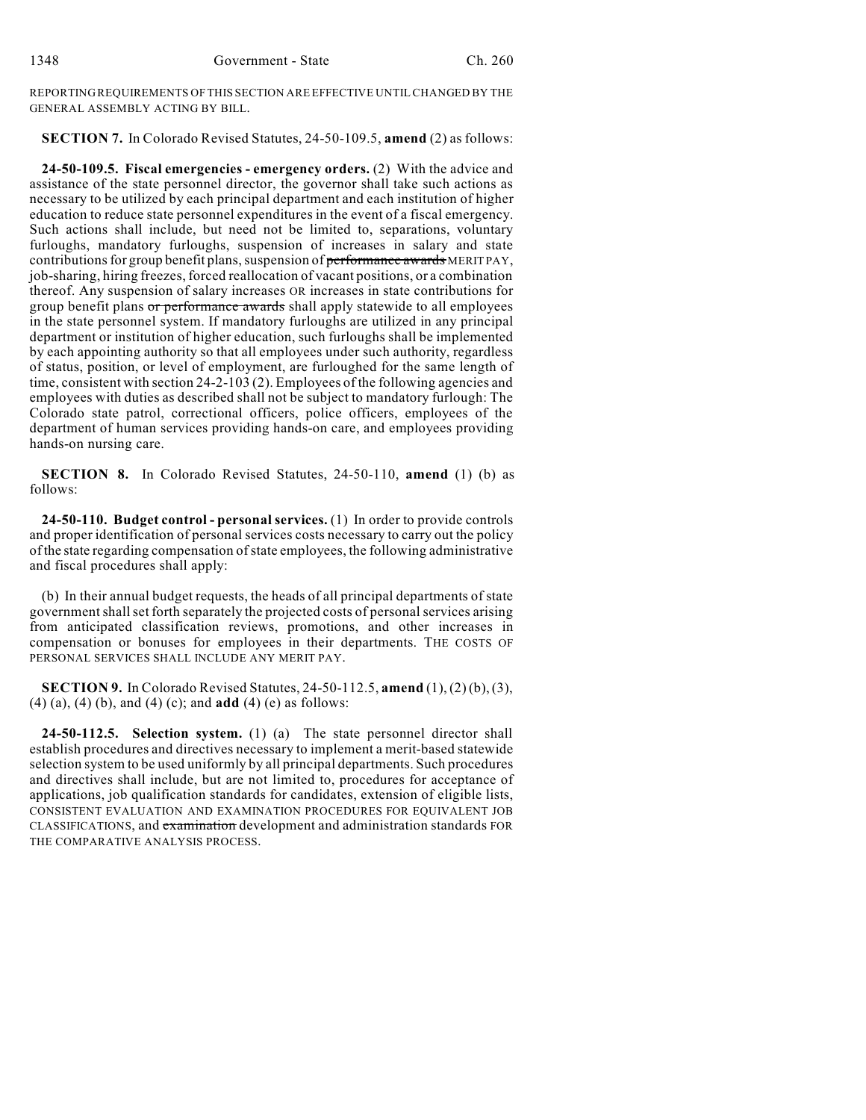REPORTING REQUIREMENTS OF THIS SECTION ARE EFFECTIVE UNTIL CHANGED BY THE GENERAL ASSEMBLY ACTING BY BILL.

**SECTION 7.** In Colorado Revised Statutes, 24-50-109.5, **amend** (2) as follows:

**24-50-109.5. Fiscal emergencies - emergency orders.** (2) With the advice and assistance of the state personnel director, the governor shall take such actions as necessary to be utilized by each principal department and each institution of higher education to reduce state personnel expenditures in the event of a fiscal emergency. Such actions shall include, but need not be limited to, separations, voluntary furloughs, mandatory furloughs, suspension of increases in salary and state contributions for group benefit plans, suspension of performance awards MERIT PAY, job-sharing, hiring freezes, forced reallocation of vacant positions, or a combination thereof. Any suspension of salary increases OR increases in state contributions for group benefit plans or performance awards shall apply statewide to all employees in the state personnel system. If mandatory furloughs are utilized in any principal department or institution of higher education, such furloughs shall be implemented by each appointing authority so that all employees under such authority, regardless of status, position, or level of employment, are furloughed for the same length of time, consistent with section 24-2-103 (2). Employees of the following agencies and employees with duties as described shall not be subject to mandatory furlough: The Colorado state patrol, correctional officers, police officers, employees of the department of human services providing hands-on care, and employees providing hands-on nursing care.

**SECTION 8.** In Colorado Revised Statutes, 24-50-110, **amend** (1) (b) as follows:

**24-50-110. Budget control - personal services.** (1) In order to provide controls and proper identification of personal services costs necessary to carry out the policy of the state regarding compensation ofstate employees, the following administrative and fiscal procedures shall apply:

(b) In their annual budget requests, the heads of all principal departments of state governmentshallset forth separately the projected costs of personalservices arising from anticipated classification reviews, promotions, and other increases in compensation or bonuses for employees in their departments. THE COSTS OF PERSONAL SERVICES SHALL INCLUDE ANY MERIT PAY.

**SECTION 9.** In Colorado Revised Statutes, 24-50-112.5, **amend** (1),(2) (b),(3), (4) (a), (4) (b), and (4) (c); and **add** (4) (e) as follows:

**24-50-112.5. Selection system.** (1) (a) The state personnel director shall establish procedures and directives necessary to implement a merit-based statewide selection system to be used uniformly by all principal departments. Such procedures and directives shall include, but are not limited to, procedures for acceptance of applications, job qualification standards for candidates, extension of eligible lists, CONSISTENT EVALUATION AND EXAMINATION PROCEDURES FOR EQUIVALENT JOB CLASSIFICATIONS, and examination development and administration standards FOR THE COMPARATIVE ANALYSIS PROCESS.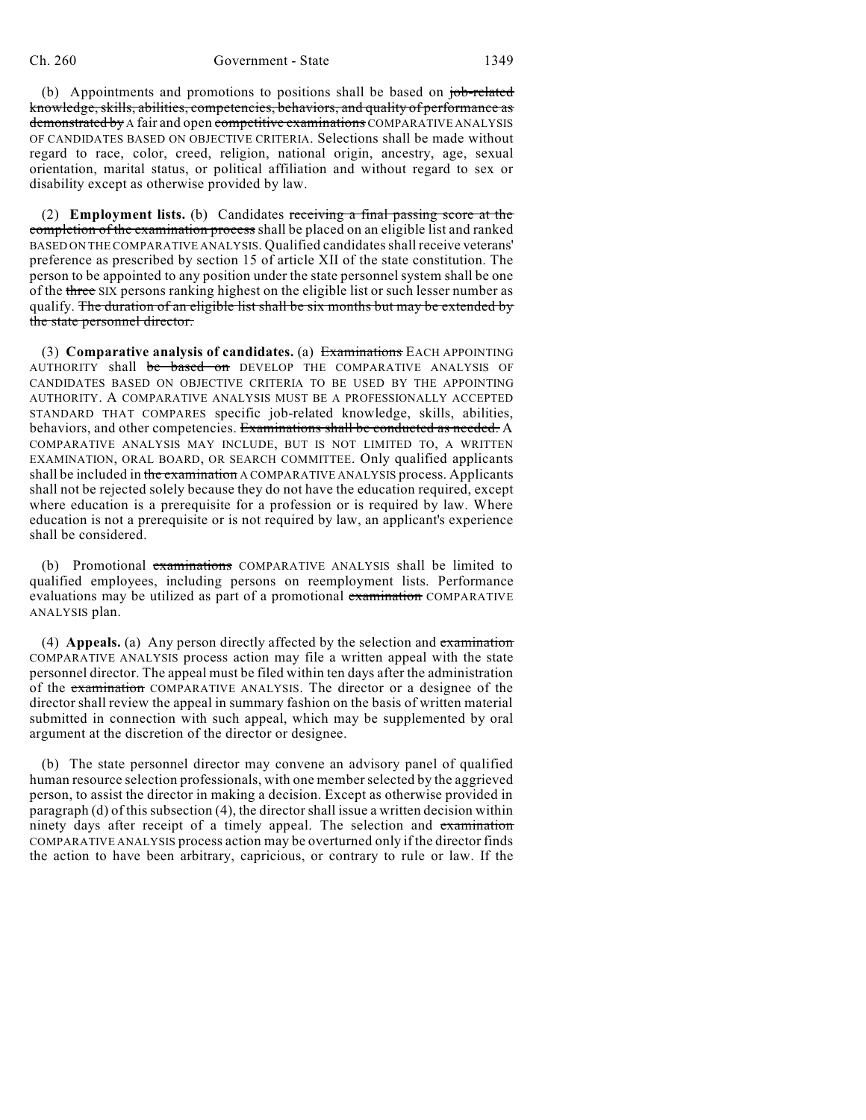(b) Appointments and promotions to positions shall be based on job-related knowledge,skills, abilities, competencies, behaviors, and quality of performance as demonstrated by A fair and open competitive examinations COMPARATIVE ANALYSIS OF CANDIDATES BASED ON OBJECTIVE CRITERIA. Selections shall be made without regard to race, color, creed, religion, national origin, ancestry, age, sexual orientation, marital status, or political affiliation and without regard to sex or disability except as otherwise provided by law.

(2) **Employment lists.** (b) Candidates receiving a final passing score at the completion of the examination process shall be placed on an eligible list and ranked BASED ON THE COMPARATIVE ANALYSIS. Qualified candidatesshall receive veterans' preference as prescribed by section 15 of article XII of the state constitution. The person to be appointed to any position under the state personnel system shall be one of the three SIX persons ranking highest on the eligible list or such lesser number as qualify. The duration of an eligible list shall be six months but may be extended by the state personnel director.

(3) **Comparative analysis of candidates.** (a) Examinations EACH APPOINTING AUTHORITY shall be based on DEVELOP THE COMPARATIVE ANALYSIS OF CANDIDATES BASED ON OBJECTIVE CRITERIA TO BE USED BY THE APPOINTING AUTHORITY. A COMPARATIVE ANALYSIS MUST BE A PROFESSIONALLY ACCEPTED STANDARD THAT COMPARES specific job-related knowledge, skills, abilities, behaviors, and other competencies. Examinations shall be conducted as needed. A COMPARATIVE ANALYSIS MAY INCLUDE, BUT IS NOT LIMITED TO, A WRITTEN EXAMINATION, ORAL BOARD, OR SEARCH COMMITTEE. Only qualified applicants shall be included in the examination A COMPARATIVE ANALYSIS process. Applicants shall not be rejected solely because they do not have the education required, except where education is a prerequisite for a profession or is required by law. Where education is not a prerequisite or is not required by law, an applicant's experience shall be considered.

(b) Promotional examinations COMPARATIVE ANALYSIS shall be limited to qualified employees, including persons on reemployment lists. Performance evaluations may be utilized as part of a promotional examination COMPARATIVE ANALYSIS plan.

(4) **Appeals.** (a) Any person directly affected by the selection and examination COMPARATIVE ANALYSIS process action may file a written appeal with the state personnel director. The appeal must be filed within ten days after the administration of the examination COMPARATIVE ANALYSIS. The director or a designee of the director shall review the appeal in summary fashion on the basis of written material submitted in connection with such appeal, which may be supplemented by oral argument at the discretion of the director or designee.

(b) The state personnel director may convene an advisory panel of qualified human resource selection professionals, with one memberselected by the aggrieved person, to assist the director in making a decision. Except as otherwise provided in paragraph (d) of this subsection (4), the directorshall issue a written decision within ninety days after receipt of a timely appeal. The selection and examination COMPARATIVE ANALYSIS process action may be overturned only if the director finds the action to have been arbitrary, capricious, or contrary to rule or law. If the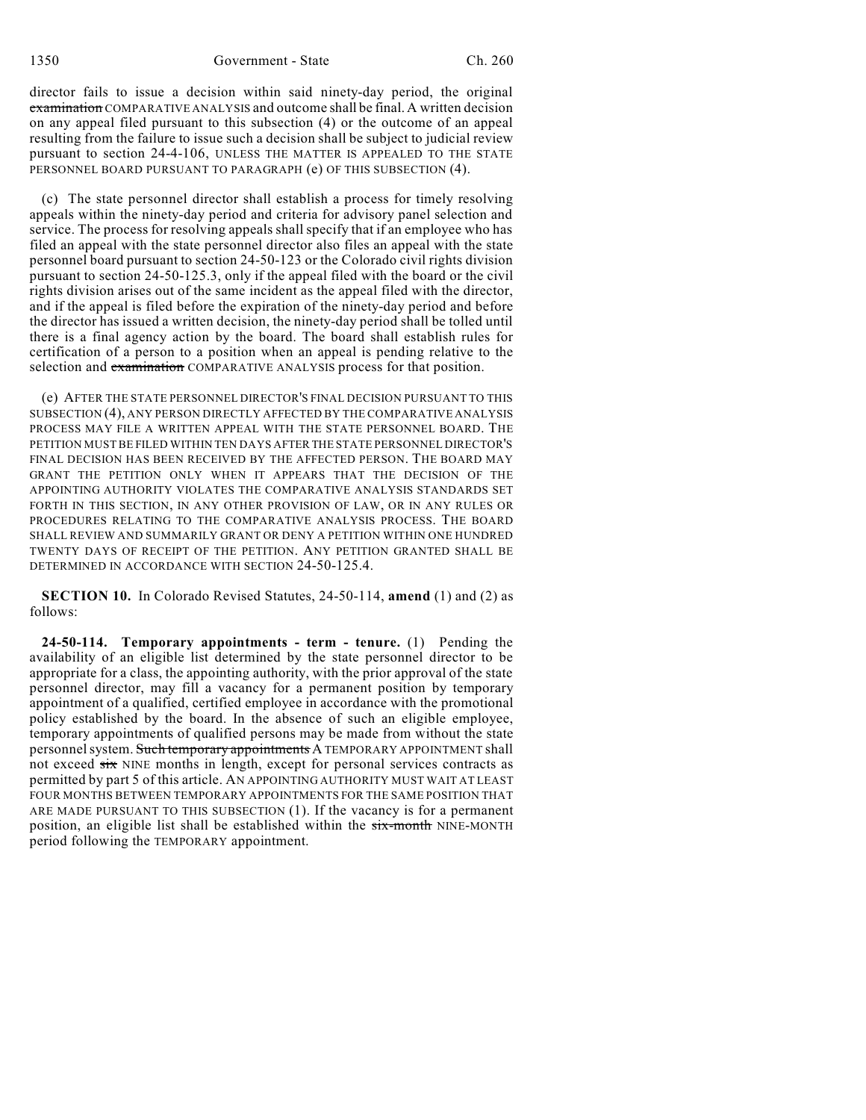director fails to issue a decision within said ninety-day period, the original examination COMPARATIVE ANALYSIS and outcome shall be final. A written decision on any appeal filed pursuant to this subsection (4) or the outcome of an appeal resulting from the failure to issue such a decision shall be subject to judicial review pursuant to section 24-4-106, UNLESS THE MATTER IS APPEALED TO THE STATE PERSONNEL BOARD PURSUANT TO PARAGRAPH (e) OF THIS SUBSECTION (4).

(c) The state personnel director shall establish a process for timely resolving appeals within the ninety-day period and criteria for advisory panel selection and service. The process for resolving appeals shall specify that if an employee who has filed an appeal with the state personnel director also files an appeal with the state personnel board pursuant to section 24-50-123 or the Colorado civil rights division pursuant to section 24-50-125.3, only if the appeal filed with the board or the civil rights division arises out of the same incident as the appeal filed with the director, and if the appeal is filed before the expiration of the ninety-day period and before the director has issued a written decision, the ninety-day period shall be tolled until there is a final agency action by the board. The board shall establish rules for certification of a person to a position when an appeal is pending relative to the selection and examination COMPARATIVE ANALYSIS process for that position.

(e) AFTER THE STATE PERSONNEL DIRECTOR'S FINAL DECISION PURSUANT TO THIS SUBSECTION (4), ANY PERSON DIRECTLY AFFECTED BY THE COMPARATIVE ANALYSIS PROCESS MAY FILE A WRITTEN APPEAL WITH THE STATE PERSONNEL BOARD. THE PETITION MUST BE FILED WITHIN TEN DAYS AFTER THE STATE PERSONNEL DIRECTOR'S FINAL DECISION HAS BEEN RECEIVED BY THE AFFECTED PERSON. THE BOARD MAY GRANT THE PETITION ONLY WHEN IT APPEARS THAT THE DECISION OF THE APPOINTING AUTHORITY VIOLATES THE COMPARATIVE ANALYSIS STANDARDS SET FORTH IN THIS SECTION, IN ANY OTHER PROVISION OF LAW, OR IN ANY RULES OR PROCEDURES RELATING TO THE COMPARATIVE ANALYSIS PROCESS. THE BOARD SHALL REVIEW AND SUMMARILY GRANT OR DENY A PETITION WITHIN ONE HUNDRED TWENTY DAYS OF RECEIPT OF THE PETITION. ANY PETITION GRANTED SHALL BE DETERMINED IN ACCORDANCE WITH SECTION 24-50-125.4.

**SECTION 10.** In Colorado Revised Statutes, 24-50-114, **amend** (1) and (2) as follows:

**24-50-114. Temporary appointments - term - tenure.** (1) Pending the availability of an eligible list determined by the state personnel director to be appropriate for a class, the appointing authority, with the prior approval of the state personnel director, may fill a vacancy for a permanent position by temporary appointment of a qualified, certified employee in accordance with the promotional policy established by the board. In the absence of such an eligible employee, temporary appointments of qualified persons may be made from without the state personnel system. Such temporary appointments A TEMPORARY APPOINTMENT shall not exceed six NINE months in length, except for personal services contracts as permitted by part 5 of this article. AN APPOINTING AUTHORITY MUST WAIT AT LEAST FOUR MONTHS BETWEEN TEMPORARY APPOINTMENTS FOR THE SAME POSITION THAT ARE MADE PURSUANT TO THIS SUBSECTION (1). If the vacancy is for a permanent position, an eligible list shall be established within the  $s$ ix-month NINE-MONTH period following the TEMPORARY appointment.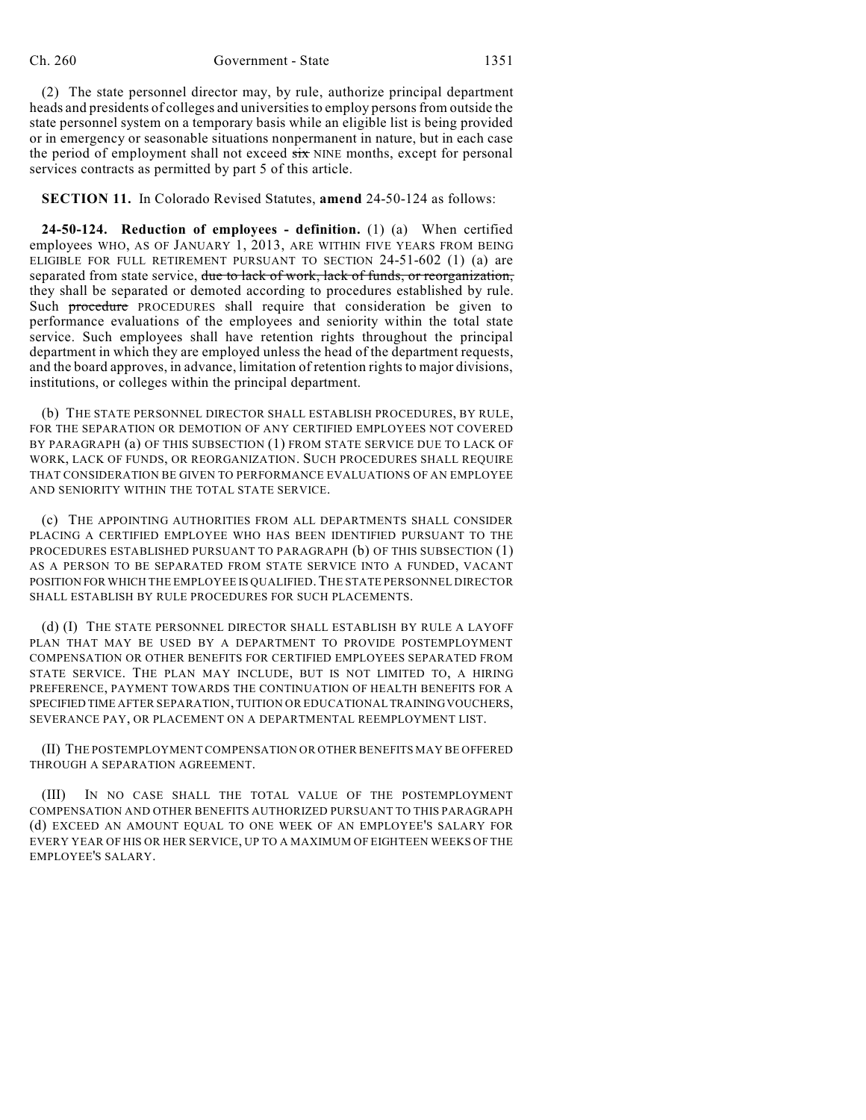(2) The state personnel director may, by rule, authorize principal department heads and presidents of colleges and universities to employ persons from outside the state personnel system on a temporary basis while an eligible list is being provided or in emergency or seasonable situations nonpermanent in nature, but in each case the period of employment shall not exceed  $s\dot{x}$  NINE months, except for personal services contracts as permitted by part 5 of this article.

**SECTION 11.** In Colorado Revised Statutes, **amend** 24-50-124 as follows:

**24-50-124. Reduction of employees - definition.** (1) (a) When certified employees WHO, AS OF JANUARY 1, 2013, ARE WITHIN FIVE YEARS FROM BEING ELIGIBLE FOR FULL RETIREMENT PURSUANT TO SECTION 24-51-602 (1) (a) are separated from state service, due to lack of work, lack of funds, or reorganization, they shall be separated or demoted according to procedures established by rule. Such procedure PROCEDURES shall require that consideration be given to performance evaluations of the employees and seniority within the total state service. Such employees shall have retention rights throughout the principal department in which they are employed unless the head of the department requests, and the board approves, in advance, limitation of retention rights to major divisions, institutions, or colleges within the principal department.

(b) THE STATE PERSONNEL DIRECTOR SHALL ESTABLISH PROCEDURES, BY RULE, FOR THE SEPARATION OR DEMOTION OF ANY CERTIFIED EMPLOYEES NOT COVERED BY PARAGRAPH (a) OF THIS SUBSECTION (1) FROM STATE SERVICE DUE TO LACK OF WORK, LACK OF FUNDS, OR REORGANIZATION. SUCH PROCEDURES SHALL REQUIRE THAT CONSIDERATION BE GIVEN TO PERFORMANCE EVALUATIONS OF AN EMPLOYEE AND SENIORITY WITHIN THE TOTAL STATE SERVICE.

(c) THE APPOINTING AUTHORITIES FROM ALL DEPARTMENTS SHALL CONSIDER PLACING A CERTIFIED EMPLOYEE WHO HAS BEEN IDENTIFIED PURSUANT TO THE PROCEDURES ESTABLISHED PURSUANT TO PARAGRAPH (b) OF THIS SUBSECTION (1) AS A PERSON TO BE SEPARATED FROM STATE SERVICE INTO A FUNDED, VACANT POSITION FOR WHICH THE EMPLOYEE IS QUALIFIED.THE STATE PERSONNEL DIRECTOR SHALL ESTABLISH BY RULE PROCEDURES FOR SUCH PLACEMENTS.

(d) (I) THE STATE PERSONNEL DIRECTOR SHALL ESTABLISH BY RULE A LAYOFF PLAN THAT MAY BE USED BY A DEPARTMENT TO PROVIDE POSTEMPLOYMENT COMPENSATION OR OTHER BENEFITS FOR CERTIFIED EMPLOYEES SEPARATED FROM STATE SERVICE. THE PLAN MAY INCLUDE, BUT IS NOT LIMITED TO, A HIRING PREFERENCE, PAYMENT TOWARDS THE CONTINUATION OF HEALTH BENEFITS FOR A SPECIFIED TIME AFTER SEPARATION, TUITION OR EDUCATIONAL TRAININGVOUCHERS, SEVERANCE PAY, OR PLACEMENT ON A DEPARTMENTAL REEMPLOYMENT LIST.

(II) THE POSTEMPLOYMENT COMPENSATION OR OTHER BENEFITS MAY BE OFFERED THROUGH A SEPARATION AGREEMENT.

(III) IN NO CASE SHALL THE TOTAL VALUE OF THE POSTEMPLOYMENT COMPENSATION AND OTHER BENEFITS AUTHORIZED PURSUANT TO THIS PARAGRAPH (d) EXCEED AN AMOUNT EQUAL TO ONE WEEK OF AN EMPLOYEE'S SALARY FOR EVERY YEAR OF HIS OR HER SERVICE, UP TO A MAXIMUM OF EIGHTEEN WEEKS OF THE EMPLOYEE'S SALARY.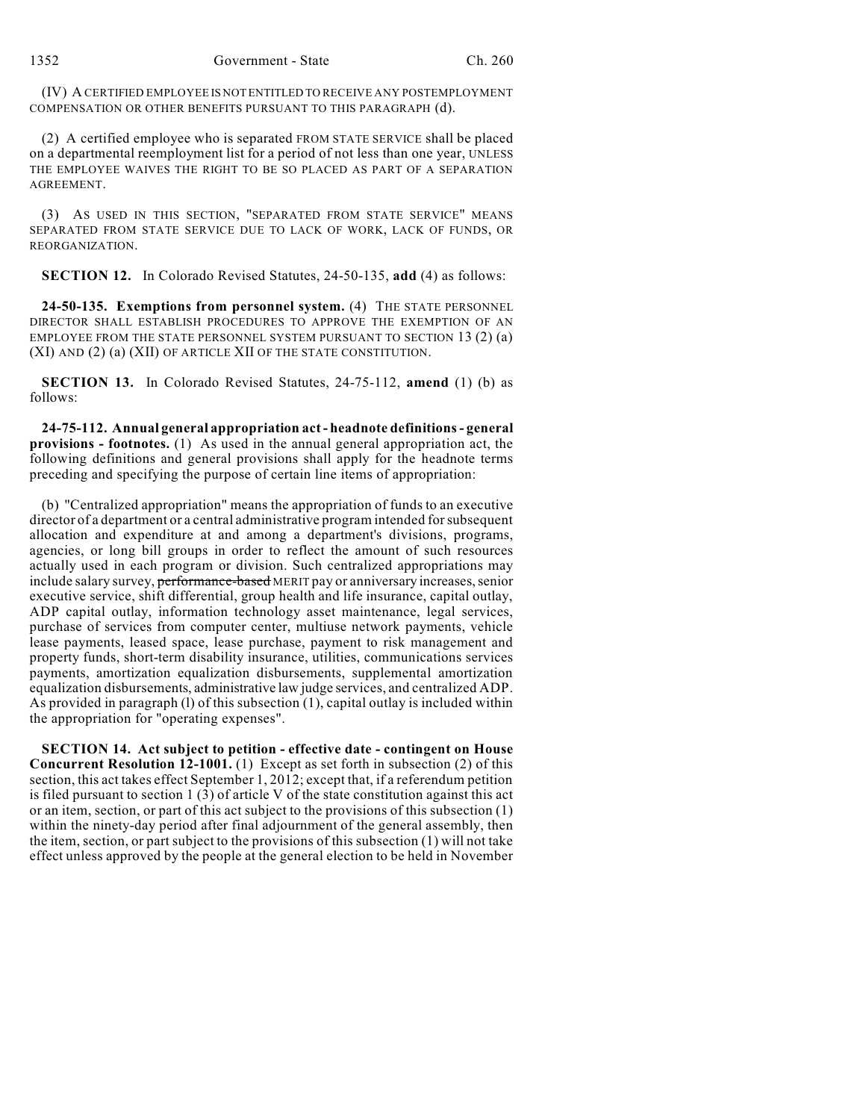(IV) A CERTIFIED EMPLOYEE IS NOT ENTITLED TO RECEIVE ANY POSTEMPLOYMENT COMPENSATION OR OTHER BENEFITS PURSUANT TO THIS PARAGRAPH (d).

(2) A certified employee who is separated FROM STATE SERVICE shall be placed on a departmental reemployment list for a period of not less than one year, UNLESS THE EMPLOYEE WAIVES THE RIGHT TO BE SO PLACED AS PART OF A SEPARATION **AGREEMENT** 

(3) AS USED IN THIS SECTION, "SEPARATED FROM STATE SERVICE" MEANS SEPARATED FROM STATE SERVICE DUE TO LACK OF WORK, LACK OF FUNDS, OR REORGANIZATION.

**SECTION 12.** In Colorado Revised Statutes, 24-50-135, **add** (4) as follows:

**24-50-135. Exemptions from personnel system.** (4) THE STATE PERSONNEL DIRECTOR SHALL ESTABLISH PROCEDURES TO APPROVE THE EXEMPTION OF AN EMPLOYEE FROM THE STATE PERSONNEL SYSTEM PURSUANT TO SECTION 13 (2) (a) (XI) AND (2) (a) (XII) OF ARTICLE XII OF THE STATE CONSTITUTION.

**SECTION 13.** In Colorado Revised Statutes, 24-75-112, **amend** (1) (b) as follows:

**24-75-112. Annual general appropriation act - headnote definitions- general provisions - footnotes.** (1) As used in the annual general appropriation act, the following definitions and general provisions shall apply for the headnote terms preceding and specifying the purpose of certain line items of appropriation:

(b) "Centralized appropriation" means the appropriation of funds to an executive director of a department or a central administrative program intended for subsequent allocation and expenditure at and among a department's divisions, programs, agencies, or long bill groups in order to reflect the amount of such resources actually used in each program or division. Such centralized appropriations may include salary survey, performance-based MERIT pay or anniversary increases, senior executive service, shift differential, group health and life insurance, capital outlay, ADP capital outlay, information technology asset maintenance, legal services, purchase of services from computer center, multiuse network payments, vehicle lease payments, leased space, lease purchase, payment to risk management and property funds, short-term disability insurance, utilities, communications services payments, amortization equalization disbursements, supplemental amortization equalization disbursements, administrative law judge services, and centralized ADP. As provided in paragraph (l) of this subsection (1), capital outlay is included within the appropriation for "operating expenses".

**SECTION 14. Act subject to petition - effective date - contingent on House Concurrent Resolution 12-1001.** (1) Except as set forth in subsection (2) of this section, this act takes effect September 1, 2012; except that, if a referendum petition is filed pursuant to section  $1(3)$  of article V of the state constitution against this act or an item, section, or part of this act subject to the provisions of this subsection (1) within the ninety-day period after final adjournment of the general assembly, then the item, section, or part subject to the provisions of this subsection (1) will not take effect unless approved by the people at the general election to be held in November